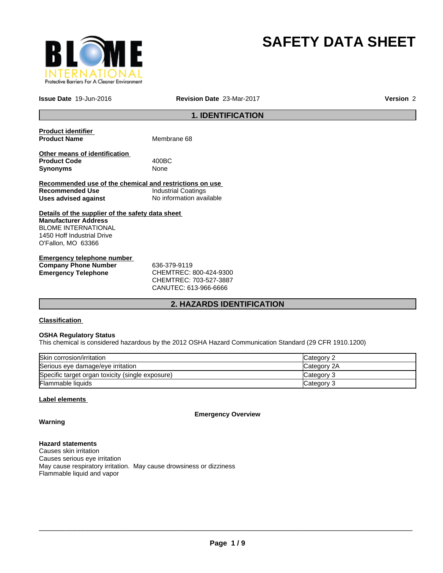

# **SAFETY DATA SHEET**

**Issue Date** 19-Jun-2016 **Revision Date** 23-Mar-2017 **Version** 2

# **1. IDENTIFICATION**

| <b>Product identifier</b><br><b>Product Name</b>                        | Membrane 68              |
|-------------------------------------------------------------------------|--------------------------|
| Other means of identification<br><b>Product Code</b><br><b>Synonyms</b> | 400BC<br>None            |
| Recommended use of the chemical and restrictions on use                 |                          |
| Recommended Use                                                         | Industrial Coatings      |
| Uses advised against                                                    | No information available |
| Details of the supplier of the safety data sheet                        |                          |
| <b>Manufacturer Address</b>                                             |                          |
| <b>BLOME INTERNATIONAL</b>                                              |                          |
| 1450 Hoff Industrial Drive                                              |                          |
| O'Fallon, MO 63366                                                      |                          |
| Fareware and the leads are a consider                                   |                          |

| Emergency telephone number  |                             |
|-----------------------------|-----------------------------|
| <b>Company Phone Number</b> | 636-379-9119                |
| Emergency Telephone         | CHEMTREC: 800-424-9300      |
|                             | $C$ HEMTDE $C$ 703-527-3887 |

CHEMTREC: 703-527-3887 CANUTEC: 613-966-6666

# **2. HAZARDS IDENTIFICATION**

# **Classification**

# **OSHA Regulatory Status**

This chemical is considered hazardous by the 2012 OSHA Hazard Communication Standard (29 CFR 1910.1200)

| Skin corrosion/irritation                        | <b>Category 2</b> |
|--------------------------------------------------|-------------------|
| Serious eye damage/eye irritation                | Category 2A       |
| Specific target organ toxicity (single exposure) | Category 3        |
| <b>Flammable liquids</b>                         | Category 3        |

# **Label elements**

**Warning**

# **Emergency Overview**

**Hazard statements**

Causes skin irritation Causes serious eye irritation May cause respiratory irritation. May cause drowsiness or dizziness Flammable liquid and vapor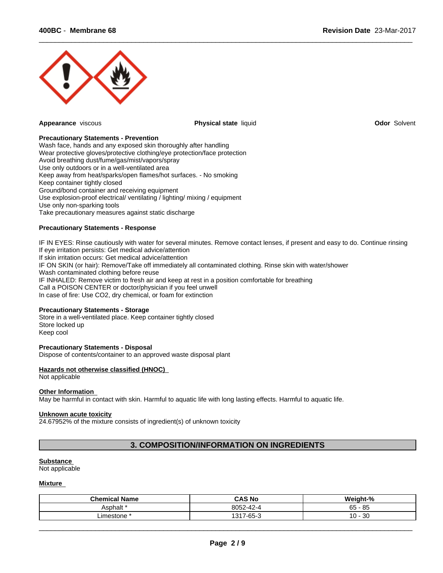

**Appearance** viscous **Physical state** liquid **Odor** Solvent

 $\overline{\phantom{a}}$  ,  $\overline{\phantom{a}}$  ,  $\overline{\phantom{a}}$  ,  $\overline{\phantom{a}}$  ,  $\overline{\phantom{a}}$  ,  $\overline{\phantom{a}}$  ,  $\overline{\phantom{a}}$  ,  $\overline{\phantom{a}}$  ,  $\overline{\phantom{a}}$  ,  $\overline{\phantom{a}}$  ,  $\overline{\phantom{a}}$  ,  $\overline{\phantom{a}}$  ,  $\overline{\phantom{a}}$  ,  $\overline{\phantom{a}}$  ,  $\overline{\phantom{a}}$  ,  $\overline{\phantom{a}}$ 

# **Precautionary Statements - Prevention**

Wash face, hands and any exposed skin thoroughly after handling Wear protective gloves/protective clothing/eye protection/face protection Avoid breathing dust/fume/gas/mist/vapors/spray Use only outdoors or in a well-ventilated area Keep away from heat/sparks/open flames/hot surfaces. - No smoking Keep container tightly closed Ground/bond container and receiving equipment Use explosion-proof electrical/ ventilating / lighting/ mixing / equipment Use only non-sparking tools Take precautionary measures against static discharge

# **Precautionary Statements - Response**

IF IN EYES: Rinse cautiously with water for several minutes. Remove contact lenses, if present and easy to do. Continue rinsing If eye irritation persists: Get medical advice/attention If skin irritation occurs: Get medical advice/attention IF ON SKIN (or hair): Remove/Take off immediately all contaminated clothing. Rinse skin with water/shower Wash contaminated clothing before reuse IF INHALED: Remove victim to fresh air and keep at rest in a position comfortable for breathing Call a POISON CENTER or doctor/physician if you feel unwell In case of fire: Use CO2, dry chemical, or foam for extinction

# **Precautionary Statements - Storage**

Store in a well-ventilated place. Keep container tightly closed Store locked up Keep cool

# **Precautionary Statements - Disposal**

Dispose of contents/container to an approved waste disposal plant

# **Hazards not otherwise classified (HNOC)**

Not applicable

#### **Other Information**

May be harmful in contact with skin. Harmful to aquatic life with long lasting effects. Harmful to aquatic life.

#### **Unknown acute toxicity**

24.67952% of the mixture consists of ingredient(s) of unknown toxicity

# **3. COMPOSITION/INFORMATION ON INGREDIENTS**

#### **Substance**

Not applicable

#### **Mixture**

| <b>Chemical Name</b> | <b>CAS No</b>                 | ht-%<br>.<br>- Weigh        |
|----------------------|-------------------------------|-----------------------------|
| Asphalt i            | 00F<br>8052-42-               | - 85<br>$\sim$ $\sim$<br>ບບ |
| ∟imestone            | $\sim$ $\sim$<br>1947<br>-65- | 30<br>$\sim$<br>U           |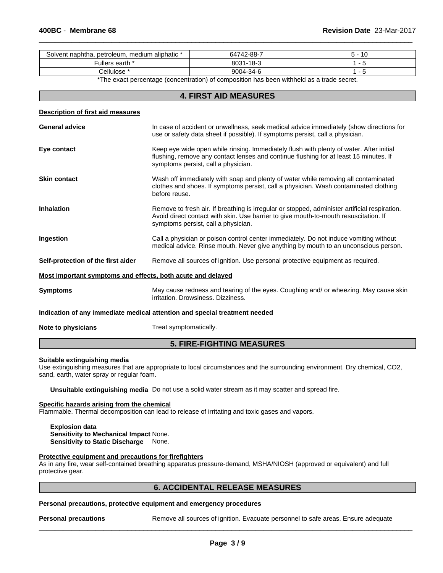| Solvent naphtha,<br>petroleum, medium aliphatic * | $.742 - 88 - 7$<br>64 | ιu |
|---------------------------------------------------|-----------------------|----|
| . earth '<br>ullers                               | 1 O T                 |    |
| iulose<br>ا ا ت                                   | 9004-:<br>34-f        |    |

 $\overline{\phantom{a}}$  ,  $\overline{\phantom{a}}$  ,  $\overline{\phantom{a}}$  ,  $\overline{\phantom{a}}$  ,  $\overline{\phantom{a}}$  ,  $\overline{\phantom{a}}$  ,  $\overline{\phantom{a}}$  ,  $\overline{\phantom{a}}$  ,  $\overline{\phantom{a}}$  ,  $\overline{\phantom{a}}$  ,  $\overline{\phantom{a}}$  ,  $\overline{\phantom{a}}$  ,  $\overline{\phantom{a}}$  ,  $\overline{\phantom{a}}$  ,  $\overline{\phantom{a}}$  ,  $\overline{\phantom{a}}$ 

\*The exact percentage (concentration) of composition has been withheld as a trade secret.

# **4. FIRST AID MEASURES**

#### **Description of first aid measures**

| <b>General advice</b>                                                      | In case of accident or unwellness, seek medical advice immediately (show directions for<br>use or safety data sheet if possible). If symptoms persist, call a physician.                                                     |
|----------------------------------------------------------------------------|------------------------------------------------------------------------------------------------------------------------------------------------------------------------------------------------------------------------------|
| Eye contact                                                                | Keep eye wide open while rinsing. Immediately flush with plenty of water. After initial<br>flushing, remove any contact lenses and continue flushing for at least 15 minutes. If<br>symptoms persist, call a physician.      |
| <b>Skin contact</b>                                                        | Wash off immediately with soap and plenty of water while removing all contaminated<br>clothes and shoes. If symptoms persist, call a physician. Wash contaminated clothing<br>before reuse.                                  |
| <b>Inhalation</b>                                                          | Remove to fresh air. If breathing is irregular or stopped, administer artificial respiration.<br>Avoid direct contact with skin. Use barrier to give mouth-to-mouth resuscitation. If<br>symptoms persist, call a physician. |
| Ingestion                                                                  | Call a physician or poison control center immediately. Do not induce vomiting without<br>medical advice. Rinse mouth. Never give anything by mouth to an unconscious person.                                                 |
| Self-protection of the first aider                                         | Remove all sources of ignition. Use personal protective equipment as required.                                                                                                                                               |
| Most important symptoms and effects, both acute and delayed                |                                                                                                                                                                                                                              |
| <b>Symptoms</b>                                                            | May cause redness and tearing of the eyes. Coughing and/ or wheezing. May cause skin<br>irritation. Drowsiness. Dizziness.                                                                                                   |
| Indication of any immediate medical attention and special treatment needed |                                                                                                                                                                                                                              |
| Note to physicians                                                         | Treat symptomatically.                                                                                                                                                                                                       |

# **Suitable extinguishing media**

Use extinguishing measures that are appropriate to local circumstances and the surrounding environment. Dry chemical, CO2, sand, earth, water spray or regular foam.

**5. FIRE-FIGHTING MEASURES**

**Unsuitable extinguishing media** Do not use a solid water stream as it may scatter and spread fire.

#### **Specific hazards arising from the chemical**

Flammable. Thermal decomposition can lead to release of irritating and toxic gases and vapors.

#### **Explosion data Sensitivity to Mechanical Impact** None. **Sensitivity to Static Discharge** None.

#### **Protective equipment and precautions for firefighters**

As in any fire, wear self-contained breathing apparatus pressure-demand, MSHA/NIOSH (approved or equivalent) and full protective gear.

# **6. ACCIDENTAL RELEASE MEASURES**

# **Personal precautions, protective equipment and emergency procedures**

**Personal precautions** Remove all sources of ignition. Evacuate personnel to safe areas. Ensure adequate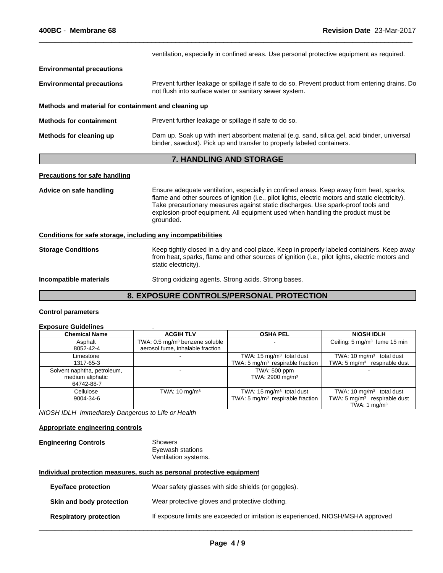ventilation, especially in confined areas. Use personal protective equipment as required. **Environmental precautions Environmental precautions** Prevent further leakage or spillage if safe to do so. Prevent product from entering drains. Do not flush into surface water or sanitary sewer system. **Methods and material for containment and cleaning up Methods for containment** Prevent further leakage or spillage if safe to do so. **Methods for cleaning up** Dam up. Soak up with inert absorbent material (e.g. sand, silica gel, acid binder, universal binder, sawdust). Pick up and transfer to properly labeled containers. **7. HANDLING AND STORAGE Precautions for safe handling Advice on safe handling** Ensure adequate ventilation, especially in confined areas. Keep away from heat, sparks, flame and other sources of ignition (i.e., pilot lights, electric motors and static electricity). Take precautionary measures against static discharges. Use spark-proof tools and explosion-proof equipment. All equipment used when handling the product must be grounded. **Conditions for safe storage, including any incompatibilities**

 $\overline{\phantom{a}}$  ,  $\overline{\phantom{a}}$  ,  $\overline{\phantom{a}}$  ,  $\overline{\phantom{a}}$  ,  $\overline{\phantom{a}}$  ,  $\overline{\phantom{a}}$  ,  $\overline{\phantom{a}}$  ,  $\overline{\phantom{a}}$  ,  $\overline{\phantom{a}}$  ,  $\overline{\phantom{a}}$  ,  $\overline{\phantom{a}}$  ,  $\overline{\phantom{a}}$  ,  $\overline{\phantom{a}}$  ,  $\overline{\phantom{a}}$  ,  $\overline{\phantom{a}}$  ,  $\overline{\phantom{a}}$ 

**Storage Conditions** Keep tightly closed in a dry and cool place. Keep in properly labeled containers. Keep away from heat, sparks, flame and other sources of ignition (i.e., pilot lights, electric motors and static electricity).

#### **Incompatible materials** Strong oxidizing agents. Strong acids. Strong bases.

# **8. EXPOSURE CONTROLS/PERSONAL PROTECTION**

# **Control parameters**

# **Exposure Guidelines** .

| <b>Chemical Name</b>                                          | <b>ACGIH TLV</b>                                                               | <b>OSHA PEL</b>                                                                    | <b>NIOSH IDLH</b>                                                                                |
|---------------------------------------------------------------|--------------------------------------------------------------------------------|------------------------------------------------------------------------------------|--------------------------------------------------------------------------------------------------|
| Asphalt<br>8052-42-4                                          | TWA: 0.5 mg/m <sup>3</sup> benzene soluble<br>aerosol fume, inhalable fraction |                                                                                    | Ceiling: $5 \text{ mg/m}^3$ fume 15 min                                                          |
| Limestone<br>1317-65-3                                        |                                                                                | TWA: $15 \text{ mg/m}^3$ total dust<br>TWA: $5 \text{ mg/m}^3$ respirable fraction | TWA: $10 \text{ mg/m}^3$ total dust<br>TWA: $5 \text{ mg/m}^3$ respirable dust                   |
| Solvent naphtha, petroleum,<br>medium aliphatic<br>64742-88-7 |                                                                                | TWA: 500 ppm<br>TWA: 2900 mg/m <sup>3</sup>                                        |                                                                                                  |
| Cellulose<br>9004-34-6                                        | TWA: $10 \text{ mg/m}^3$                                                       | TWA: 15 $mg/m3$ total dust<br>TWA: 5 $mq/m3$ respirable fraction                   | TWA: $10 \text{ mg/m}^3$ total dust<br>TWA: $5 \text{ mg/m}^3$ respirable dust<br>TWA: 1 $ma/m3$ |

*NIOSH IDLH Immediately Dangerous to Life or Health*

#### **Appropriate engineering controls**

| <b>Engineering Controls</b> | Showers              |  |
|-----------------------------|----------------------|--|
|                             | Eyewash stations     |  |
|                             | Ventilation systems. |  |

# **Individual protection measures, such as personal protective equipment**

| <b>Eye/face protection</b>    | Wear safety glasses with side shields (or goggles).                               |
|-------------------------------|-----------------------------------------------------------------------------------|
| Skin and body protection      | Wear protective gloves and protective clothing.                                   |
| <b>Respiratory protection</b> | If exposure limits are exceeded or irritation is experienced, NIOSH/MSHA approved |
|                               |                                                                                   |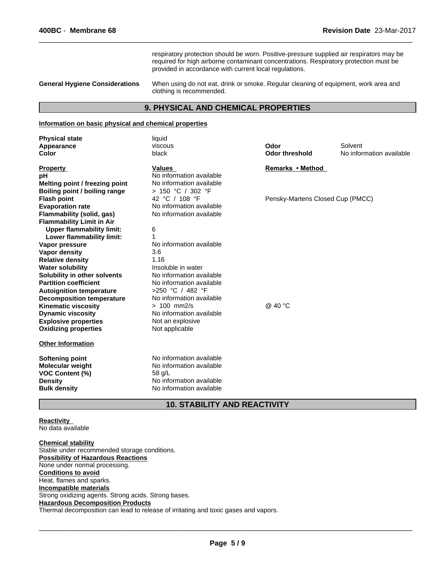respiratory protection should be worn. Positive-pressure supplied air respirators may be required for high airborne contaminant concentrations. Respiratory protection must be provided in accordance with current local regulations.

 $\overline{\phantom{a}}$  ,  $\overline{\phantom{a}}$  ,  $\overline{\phantom{a}}$  ,  $\overline{\phantom{a}}$  ,  $\overline{\phantom{a}}$  ,  $\overline{\phantom{a}}$  ,  $\overline{\phantom{a}}$  ,  $\overline{\phantom{a}}$  ,  $\overline{\phantom{a}}$  ,  $\overline{\phantom{a}}$  ,  $\overline{\phantom{a}}$  ,  $\overline{\phantom{a}}$  ,  $\overline{\phantom{a}}$  ,  $\overline{\phantom{a}}$  ,  $\overline{\phantom{a}}$  ,  $\overline{\phantom{a}}$ 

**General Hygiene Considerations** When using do not eat, drink or smoke. Regular cleaning of equipment, work area and clothing is recommended.

# **9. PHYSICAL AND CHEMICAL PROPERTIES**

# **Information on basic physical and chemical properties**

| <b>Physical state</b>            | liquid                              |                                  |                          |
|----------------------------------|-------------------------------------|----------------------------------|--------------------------|
| Appearance                       | viscous                             | Odor                             | Solvent                  |
| Color                            | black                               | <b>Odor threshold</b>            | No information available |
| <b>Property</b>                  | <b>Values</b>                       | Remarks • Method                 |                          |
| рH                               | No information available            |                                  |                          |
| Melting point / freezing point   | No information available            |                                  |                          |
| Boiling point / boiling range    | > 150 °C / 302 °F                   |                                  |                          |
| <b>Flash point</b>               | 42 °C / 108 °F                      | Pensky-Martens Closed Cup (PMCC) |                          |
| <b>Evaporation rate</b>          | No information available            |                                  |                          |
| <b>Flammability (solid, gas)</b> | No information available            |                                  |                          |
| <b>Flammability Limit in Air</b> |                                     |                                  |                          |
| <b>Upper flammability limit:</b> | 6                                   |                                  |                          |
| Lower flammability limit:        |                                     |                                  |                          |
| Vapor pressure                   | No information available            |                                  |                          |
| <b>Vapor density</b>             | 3.6                                 |                                  |                          |
| <b>Relative density</b>          | 1.16                                |                                  |                          |
| <b>Water solubility</b>          | Insoluble in water                  |                                  |                          |
| Solubility in other solvents     | No information available            |                                  |                          |
| <b>Partition coefficient</b>     | No information available            |                                  |                          |
| <b>Autoignition temperature</b>  | >250 °C / 482 °F                    |                                  |                          |
| <b>Decomposition temperature</b> | No information available            |                                  |                          |
| <b>Kinematic viscosity</b>       | $> 100$ mm2/s                       | @ 40 °C                          |                          |
| <b>Dynamic viscosity</b>         | No information available            |                                  |                          |
| <b>Explosive properties</b>      | Not an explosive                    |                                  |                          |
| <b>Oxidizing properties</b>      | Not applicable                      |                                  |                          |
| <b>Other Information</b>         |                                     |                                  |                          |
| <b>Softening point</b>           | No information available            |                                  |                          |
| <b>Molecular weight</b>          | No information available            |                                  |                          |
| <b>VOC Content (%)</b>           | 58 g/L                              |                                  |                          |
| <b>Density</b>                   | No information available            |                                  |                          |
| <b>Bulk density</b>              | No information available            |                                  |                          |
|                                  | <b>10. STABILITY AND REACTIVITY</b> |                                  |                          |

**Reactivity**  No data available

**Chemical stability** Stable under recommended storage conditions. **Possibility of Hazardous Reactions** None under normal processing. **Conditions to avoid** Heat, flames and sparks. **Incompatible materials** Strong oxidizing agents. Strong acids. Strong bases. **Hazardous Decomposition Products** Thermal decomposition can lead to release of irritating and toxic gases and vapors.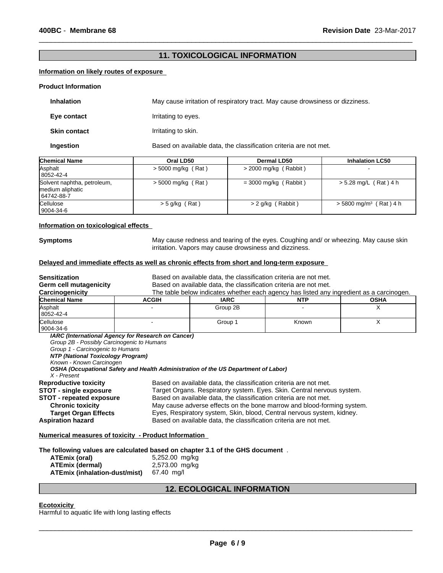# **11. TOXICOLOGICAL INFORMATION**

 $\overline{\phantom{a}}$  ,  $\overline{\phantom{a}}$  ,  $\overline{\phantom{a}}$  ,  $\overline{\phantom{a}}$  ,  $\overline{\phantom{a}}$  ,  $\overline{\phantom{a}}$  ,  $\overline{\phantom{a}}$  ,  $\overline{\phantom{a}}$  ,  $\overline{\phantom{a}}$  ,  $\overline{\phantom{a}}$  ,  $\overline{\phantom{a}}$  ,  $\overline{\phantom{a}}$  ,  $\overline{\phantom{a}}$  ,  $\overline{\phantom{a}}$  ,  $\overline{\phantom{a}}$  ,  $\overline{\phantom{a}}$ 

# **Information on likely routes of exposure**

#### **Product Information**

| <b>Inhalation</b>   | May cause irritation of respiratory tract. May cause drowsiness or dizziness. |
|---------------------|-------------------------------------------------------------------------------|
| Eye contact         | Irritating to eyes.                                                           |
| <b>Skin contact</b> | Irritating to skin.                                                           |
| Ingestion           | Based on available data, the classification criteria are not met.             |

| <b>Chemical Name</b>                                          | Oral LD50            | Dermal LD50             | <b>Inhalation LC50</b>               |
|---------------------------------------------------------------|----------------------|-------------------------|--------------------------------------|
| Asphalt<br>8052-42-4                                          | $>$ 5000 mg/kg (Rat) | $>$ 2000 mg/kg (Rabbit) | $\sim$                               |
| Solvent naphtha, petroleum,<br>medium aliphatic<br>64742-88-7 | $>$ 5000 mg/kg (Rat) | $=$ 3000 mg/kg (Rabbit) | > 5.28 mg/L (Rat) 4 h                |
| <b>Cellulose</b><br>  9004-34-6                               | $>$ 5 g/kg (Rat)     | $> 2$ g/kg (Rabbit)     | $>$ 5800 mg/m <sup>3</sup> (Rat) 4 h |

### **Information on toxicological effects**

**Symptoms** May cause redness and tearing of the eyes. Coughing and/ or wheezing. May cause skin irritation. Vapors may cause drowsiness and dizziness.

# **Delayed and immediate effects as well as chronic effects from short and long-term exposure**

| <b>Sensitization</b>                                                                                                                                                                           |                                                                                                                                                                                                                                                                                                                                                                                                                                           | Based on available data, the classification criteria are not met. |                                                                                          |             |  |
|------------------------------------------------------------------------------------------------------------------------------------------------------------------------------------------------|-------------------------------------------------------------------------------------------------------------------------------------------------------------------------------------------------------------------------------------------------------------------------------------------------------------------------------------------------------------------------------------------------------------------------------------------|-------------------------------------------------------------------|------------------------------------------------------------------------------------------|-------------|--|
| Germ cell mutagenicity<br>Carcinogenicity                                                                                                                                                      |                                                                                                                                                                                                                                                                                                                                                                                                                                           | Based on available data, the classification criteria are not met. | The table below indicates whether each agency has listed any ingredient as a carcinogen. |             |  |
| <b>Chemical Name</b>                                                                                                                                                                           | <b>ACGIH</b>                                                                                                                                                                                                                                                                                                                                                                                                                              | <b>IARC</b>                                                       | <b>NTP</b>                                                                               | <b>OSHA</b> |  |
| Asphalt<br>8052-42-4                                                                                                                                                                           |                                                                                                                                                                                                                                                                                                                                                                                                                                           | Group 2B                                                          |                                                                                          | X           |  |
| Cellulose<br>9004-34-6                                                                                                                                                                         |                                                                                                                                                                                                                                                                                                                                                                                                                                           | Group 1                                                           | Known                                                                                    | X           |  |
| Group 2B - Possibly Carcinogenic to Humans<br>Group 1 - Carcinogenic to Humans<br>NTP (National Toxicology Program)<br>Known - Known Carcinogen<br>X - Present<br><b>Reproductive toxicity</b> | OSHA (Occupational Safety and Health Administration of the US Department of Labor)                                                                                                                                                                                                                                                                                                                                                        |                                                                   |                                                                                          |             |  |
| <b>STOT - single exposure</b><br><b>STOT - repeated exposure</b><br><b>Chronic toxicity</b><br><b>Target Organ Effects</b><br><b>Aspiration hazard</b>                                         | Based on available data, the classification criteria are not met.<br>Target Organs. Respiratory system. Eyes. Skin. Central nervous system.<br>Based on available data, the classification criteria are not met.<br>May cause adverse effects on the bone marrow and blood-forming system.<br>Eyes, Respiratory system, Skin, blood, Central nervous system, kidney.<br>Based on available data, the classification criteria are not met. |                                                                   |                                                                                          |             |  |
| <b>Numerical measures of toxicity - Product Information</b>                                                                                                                                    |                                                                                                                                                                                                                                                                                                                                                                                                                                           |                                                                   |                                                                                          |             |  |
| The following values are calculated based on chapter 3.1 of the GHS document.<br>A TE  ! / _ . _ I\                                                                                            | $E$ $\Omega E \Omega$ $\Omega \Omega$ make                                                                                                                                                                                                                                                                                                                                                                                                |                                                                   |                                                                                          |             |  |

| ATEmix (oral)                 | 5,252.00 mg/kg |
|-------------------------------|----------------|
| <b>ATEmix (dermal)</b>        | 2,573.00 mg/kg |
| ATEmix (inhalation-dust/mist) | 67.40 ma/l     |

# **12. ECOLOGICAL INFORMATION**

# **Ecotoxicity**

Harmful to aquatic life with long lasting effects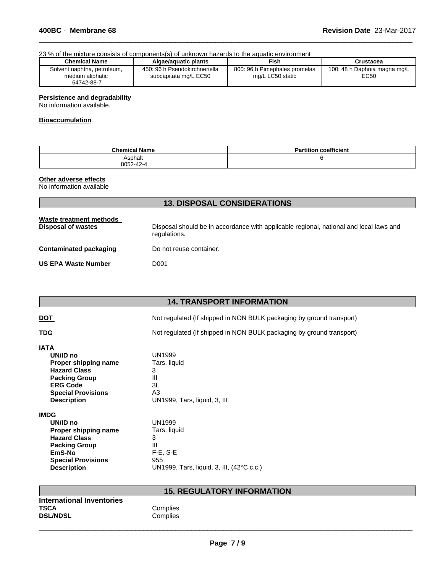# 23 % of the mixture consists of components(s) of unknown hazards to the aquatic environment

| <b>Chemical Name</b>                                          | Algae/aquatic plants                                   | Fish                                              | Crustacea                            |
|---------------------------------------------------------------|--------------------------------------------------------|---------------------------------------------------|--------------------------------------|
| Solvent naphtha, petroleum,<br>medium aliphatic<br>64742-88-7 | 450: 96 h Pseudokirchneriella<br>subcapitata mg/L EC50 | 800: 96 h Pimephales promelas<br>mg/L LC50 static | 100: 48 h Daphnia magna mg/L<br>EC50 |

 $\overline{\phantom{a}}$  ,  $\overline{\phantom{a}}$  ,  $\overline{\phantom{a}}$  ,  $\overline{\phantom{a}}$  ,  $\overline{\phantom{a}}$  ,  $\overline{\phantom{a}}$  ,  $\overline{\phantom{a}}$  ,  $\overline{\phantom{a}}$  ,  $\overline{\phantom{a}}$  ,  $\overline{\phantom{a}}$  ,  $\overline{\phantom{a}}$  ,  $\overline{\phantom{a}}$  ,  $\overline{\phantom{a}}$  ,  $\overline{\phantom{a}}$  ,  $\overline{\phantom{a}}$  ,  $\overline{\phantom{a}}$ 

# **Persistence and degradability**

No information available.

# **Bioaccumulation**

| <b>Chemical Name</b> | coefficient<br><b>Partition</b> |
|----------------------|---------------------------------|
| Asphalt<br>8052-42-4 |                                 |

# **Other adverse effects**

No information available

| <b>13. DISPOSAL CONSIDERATIONS</b>                   |                                                                                                        |  |
|------------------------------------------------------|--------------------------------------------------------------------------------------------------------|--|
| Waste treatment methods<br><b>Disposal of wastes</b> | Disposal should be in accordance with applicable regional, national and local laws and<br>regulations. |  |
| Contaminated packaging                               | Do not reuse container.                                                                                |  |
| <b>US EPA Waste Number</b>                           | D <sub>001</sub>                                                                                       |  |

# **14. TRANSPORT INFORMATION**

|--|

Not regulated (If shipped in NON BULK packaging by ground transport)

**TDG** Not regulated (If shipped in NON BULK packaging by ground transport)

# **IATA**

| 18 I B                    |                              |
|---------------------------|------------------------------|
| UN/ID no                  | UN1999                       |
| Proper shipping name      | Tars, liquid                 |
| <b>Hazard Class</b>       | 3                            |
| <b>Packing Group</b>      | Ш                            |
| <b>ERG Code</b>           | 3L                           |
| <b>Special Provisions</b> | A3                           |
| <b>Description</b>        | UN1999, Tars, liquid, 3, III |
| <b>IMDG</b>               |                              |
| UN/ID no                  | UN1999                       |
| Proper shipping name      | Tars, liquid                 |
|                           |                              |

| UN/ID no                  | UN1999                                    |
|---------------------------|-------------------------------------------|
| Proper shipping name      | Tars, liquid                              |
| <b>Hazard Class</b>       | 3                                         |
| <b>Packing Group</b>      | Ш                                         |
| EmS-No                    | $F-E. S-E$                                |
| <b>Special Provisions</b> | 955                                       |
| <b>Description</b>        | UN1999, Tars, liquid, 3, III, (42°C c.c.) |

# **15. REGULATORY INFORMATION**

| <b>International Inventories</b> |     |
|----------------------------------|-----|
| TSCA                             | Cor |
| <b>DSL/NDSL</b>                  | Cor |

# **Complies Complies**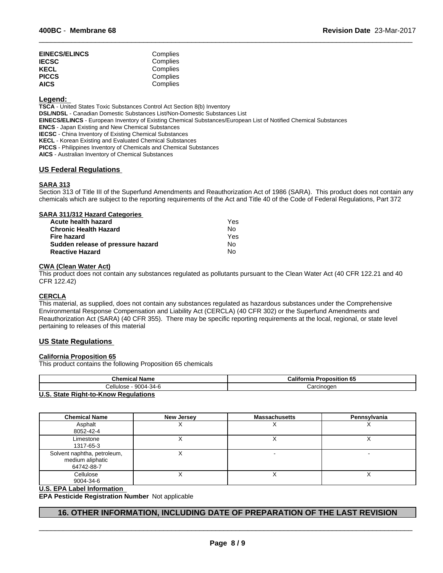| <b>EINECS/ELINCS</b> | Complies |
|----------------------|----------|
| <b>IECSC</b>         | Complies |
| KECL                 | Complies |
| <b>PICCS</b>         | Complies |
| <b>AICS</b>          | Complies |

# **Legend:**

**TSCA** - United States Toxic Substances Control Act Section 8(b) Inventory **DSL/NDSL** - Canadian Domestic Substances List/Non-Domestic Substances List **EINECS/ELINCS** - European Inventory of Existing Chemical Substances/European List of Notified Chemical Substances **ENCS** - Japan Existing and New Chemical Substances **IECSC** - China Inventory of Existing Chemical Substances **KECL** - Korean Existing and Evaluated Chemical Substances **PICCS** - Philippines Inventory of Chemicals and Chemical Substances

**AICS** - Australian Inventory of Chemical Substances

# **US Federal Regulations**

# **SARA 313**

Section 313 of Title III of the Superfund Amendments and Reauthorization Act of 1986 (SARA). This product does not contain any chemicals which are subject to the reporting requirements of the Act and Title 40 of the Code of Federal Regulations, Part 372

 $\overline{\phantom{a}}$  ,  $\overline{\phantom{a}}$  ,  $\overline{\phantom{a}}$  ,  $\overline{\phantom{a}}$  ,  $\overline{\phantom{a}}$  ,  $\overline{\phantom{a}}$  ,  $\overline{\phantom{a}}$  ,  $\overline{\phantom{a}}$  ,  $\overline{\phantom{a}}$  ,  $\overline{\phantom{a}}$  ,  $\overline{\phantom{a}}$  ,  $\overline{\phantom{a}}$  ,  $\overline{\phantom{a}}$  ,  $\overline{\phantom{a}}$  ,  $\overline{\phantom{a}}$  ,  $\overline{\phantom{a}}$ 

| SARA 311/312 Hazard Categories    |     |  |
|-----------------------------------|-----|--|
| Acute health hazard               | Yes |  |
| <b>Chronic Health Hazard</b>      | No  |  |
| <b>Fire hazard</b>                | Yes |  |
| Sudden release of pressure hazard | No  |  |
| <b>Reactive Hazard</b>            | N٥  |  |

# **CWA (Clean Water Act)**

This product does not contain any substances regulated as pollutants pursuant to the Clean Water Act (40 CFR 122.21 and 40 CFR 122.42)

# **CERCLA**

This material, as supplied, does not contain any substances regulated as hazardous substances under the Comprehensive Environmental Response Compensation and Liability Act (CERCLA) (40 CFR 302) or the Superfund Amendments and Reauthorization Act (SARA) (40 CFR 355). There may be specific reporting requirements at the local, regional, or state level pertaining to releases of this material

# **US State Regulations**

#### **California Proposition 65**

This product contains the following Proposition 65 chemicals

| <b>Chemical Name</b>                       | California<br><b>Proposition 65</b> |  |
|--------------------------------------------|-------------------------------------|--|
| - 9004-34-6<br>∠ellulose                   | Carcinogen                          |  |
| <b>ILC</b> Ctate Dight to Know Pequiptions |                                     |  |

# **U.S. State Right-to-Know Regulations**

| <b>Chemical Name</b>                                          | New Jersey | <b>Massachusetts</b> | Pennsylvania |
|---------------------------------------------------------------|------------|----------------------|--------------|
| Asphalt<br>8052-42-4                                          |            |                      | ⌒            |
| Limestone<br>1317-65-3                                        |            |                      |              |
| Solvent naphtha, petroleum,<br>medium aliphatic<br>64742-88-7 |            |                      |              |
| Cellulose<br>9004-34-6                                        |            |                      |              |

# **U.S. EPA Label Information**

**EPA Pesticide Registration Number** Not applicable

# **16. OTHER INFORMATION, INCLUDING DATE OF PREPARATION OF THE LAST REVISION**